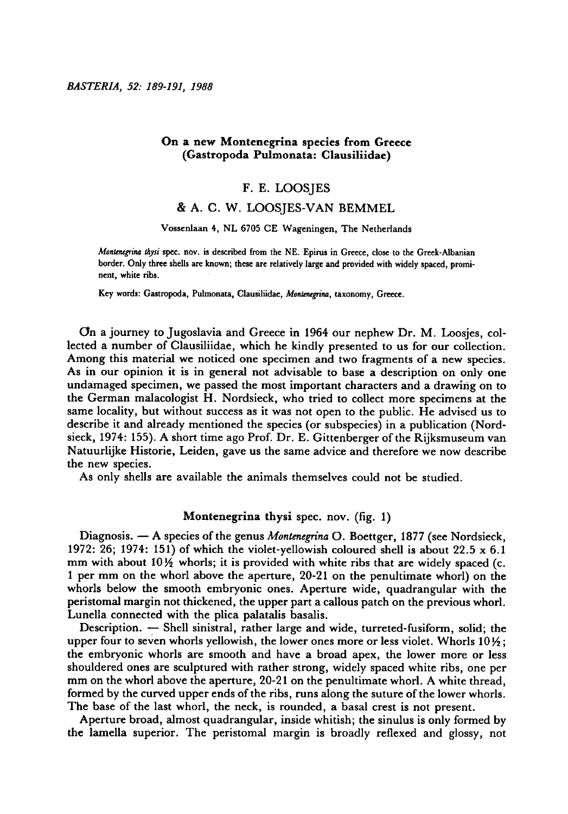## On <sup>a</sup> new Montenegrina species from Greece (Gastropoda Pulmonata: Clausiliidae)

## F.E. Loosjes

# & A.C.W. Loosjes-van+Bemmel

### Vossenlaan 4, NL 6705 CE Wageningen, The Netherlands

Montenegrina thysi spec. nov. is described from the NE. Epirus in Greece, close to the Greek-Albanian border. Only three shells are known; these are relatively large and provided with widely spaced, prominent, white ribs.

Key words: Gastropoda, Pulmonata, Clausiliidae, Montenegrina, taxonomy, Greece.

On <sup>a</sup> journey to Jugoslavia and Greece in 1964 our nephew Dr. M. Loosjes, collected a number of Clausiliidae, which he kindly presented to us for our collection. Among this material we noticed one specimen and two fragments of <sup>a</sup> new species. As in our opinion it is in general not advisable to base <sup>a</sup> description on only one undamaged specimen, we passed the most important characters and <sup>a</sup> drawing on to the German malacologist H. Nordsieck, who tried to collect more specimens at the same locality, but without success as it was not open to the public. He advised us to describe it and already mentioned the species (or subspecies) in <sup>a</sup> publication (Nordsieck, 1974: 155). A short time ago Prof. Dr. E. Gittenberger of the Rijksmuseum van Natuurlijke Historie, Leiden, gave us the same advice and therefore we now describe the new species.

As only shells are available the animals themselves could not be studied.

## Montenegrina thysi spec. nov. (fig. 1)

Diagnosis.  $\mathbf{A}$  species of the genus *Montenegrina* O. Boettger, 1877 (see Nordsieck, 1972: 26; 1974: 151) of which the violet-yellowish coloured shell is about 22.5  $\times$  6.1 mm with about  $10\frac{1}{2}$  whorls; it is provided with white ribs that are widely spaced (c. <sup>1</sup> per mm on the whorl above the aperture, 20-21 on the penultimate whorl) on the whorls below the smooth embryonic ones. Aperture wide, quadrangular with the peristomal margin not thickened, the upper part <sup>a</sup> callous patch on the previous whorl. Lunella connected with the plica palatalis basalis.

Description. — Shell sinistral, rather large and wide, turreted-fusiform, solid; the upper four to seven whorls yellowish, the lower ones more or less violet. Whorls  $10\frac{1}{2}$ ; the embryonic whorls are smooth and have <sup>a</sup> broad apex, the lower more or less shouldered ones are sculptured with rather strong, widely spaced white ribs, one per mm on the whorl above the aperture, 20-21 on the penultimate whorl. A white thread, formed by the curved upper ends of the ribs, runs along the suture of the lower whorls. The base of the last whorl, the neck, is rounded, <sup>a</sup> basal crest is not present.

Aperture broad, almost quadrangular, inside whitish; the sinulus is only formed by the lamella superior. The peristomal margin is broadly reflexed and glossy, not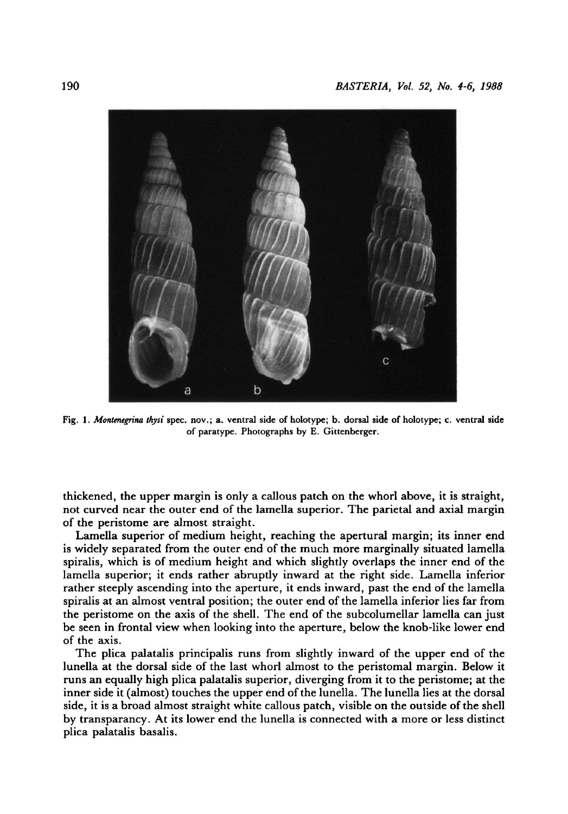

Fig. 1. Montenegrina thysi spec. nov.; a. ventral side of holotype; b. dorsal side of holotype; c. ventral side of paratype. Photographs by E. Gittenberger.

thickened, the upper margin is only <sup>a</sup> callous patch on the whorl above, it is straight, not curved near the outer end of the lamella superior. The parietal and axial margin of the peristome are almost straight.

Lamella superior of medium height, reaching the apertural margin; its inner end is widely separated from the outer end of the much more marginally situated lamella spiralis, which is of medium height and which slightly overlaps the inner end of the lamella superior; it ends rather abruptly inward at the right side. Lamella inferior rather steeply ascending into the aperture, it ends inward, past the end of the lamella spiralis at an almost ventral position; the outer end of the lamella inferior lies far from the peristome on the axis of the shell. The end of the subcolumellar lamellacan just be seen in frontal view when looking into the aperture, below the knob-like lower end of the axis.

The plica palatalis principalis runs from slightly inward of the upper end of the lunellaat the dorsal side of the last whorl almost to the peristomal margin. Below it runs an equally high plica palatalis superior, diverging from it to the peristome; at the inner side it (almost) touches the upper end of the lunella. The lunella lies at the dorsal side, it is <sup>a</sup> broad almost straight white callous patch, visible on the outside of the shell by transparancy. At its lower end the lunella is connected with <sup>a</sup> more or less distinct plica palatalis basalis.